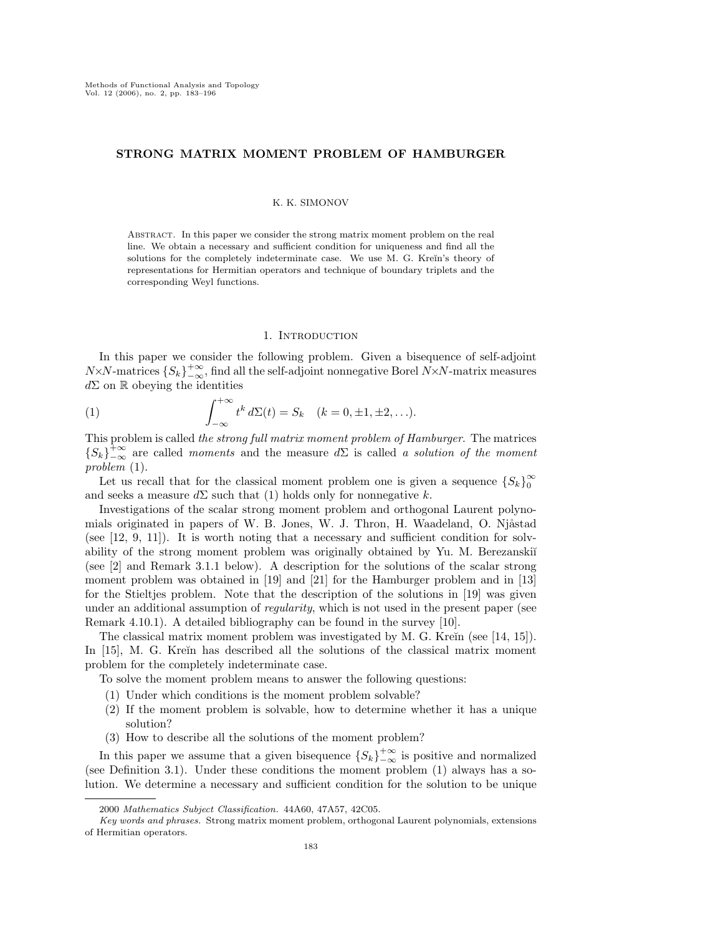# STRONG MATRIX MOMENT PROBLEM OF HAMBURGER

### K. K. SIMONOV

Abstract. In this paper we consider the strong matrix moment problem on the real line. We obtain a necessary and sufficient condition for uniqueness and find all the solutions for the completely indeterminate case. We use M. G. Kreĭn's theory of representations for Hermitian operators and technique of boundary triplets and the corresponding Weyl functions.

### 1. INTRODUCTION

In this paper we consider the following problem. Given a bisequence of self-adjoint N×N-matrices  $\{S_k\}_{-\infty}^{+\infty}$ , find all the self-adjoint nonnegative Borel N×N-matrix measures  $d\Sigma$  on R obeying the identities

(1) 
$$
\int_{-\infty}^{+\infty} t^k d\Sigma(t) = S_k \quad (k = 0, \pm 1, \pm 2, \ldots).
$$

This problem is called the strong full matrix moment problem of Hamburger. The matrices  ${S_k}^{\to\infty}_{-\infty}$  are called moments and the measure d $\Sigma$  is called a solution of the moment problem (1).

Let us recall that for the classical moment problem one is given a sequence  ${S_k}_0^{\infty}$ 0 and seeks a measure  $d\Sigma$  such that (1) holds only for nonnegative k.

Investigations of the scalar strong moment problem and orthogonal Laurent polynomials originated in papers of W. B. Jones, W. J. Thron, H. Waadeland, O. Njåstad (see [12, 9, 11]). It is worth noting that a necessary and sufficient condition for solvability of the strong moment problem was originally obtained by Yu. M. Berezanski $\check{\mathrm{u}}$ (see [2] and Remark 3.1.1 below). A description for the solutions of the scalar strong moment problem was obtained in [19] and [21] for the Hamburger problem and in [13] for the Stieltjes problem. Note that the description of the solutions in [19] was given under an additional assumption of *regularity*, which is not used in the present paper (see Remark 4.10.1). A detailed bibliography can be found in the survey [10].

The classical matrix moment problem was investigated by M. G. Kreĭn (see  $[14, 15]$ ). In [15], M. G. Kreĭn has described all the solutions of the classical matrix moment problem for the completely indeterminate case.

To solve the moment problem means to answer the following questions:

- (1) Under which conditions is the moment problem solvable?
- (2) If the moment problem is solvable, how to determine whether it has a unique solution?
- (3) How to describe all the solutions of the moment problem?

In this paper we assume that a given bisequence  ${S_k}^{\to\infty}_{-\infty}$  is positive and normalized (see Definition 3.1). Under these conditions the moment problem (1) always has a solution. We determine a necessary and sufficient condition for the solution to be unique

<sup>2000</sup> Mathematics Subject Classification. 44A60, 47A57, 42C05.

Key words and phrases. Strong matrix moment problem, orthogonal Laurent polynomials, extensions of Hermitian operators.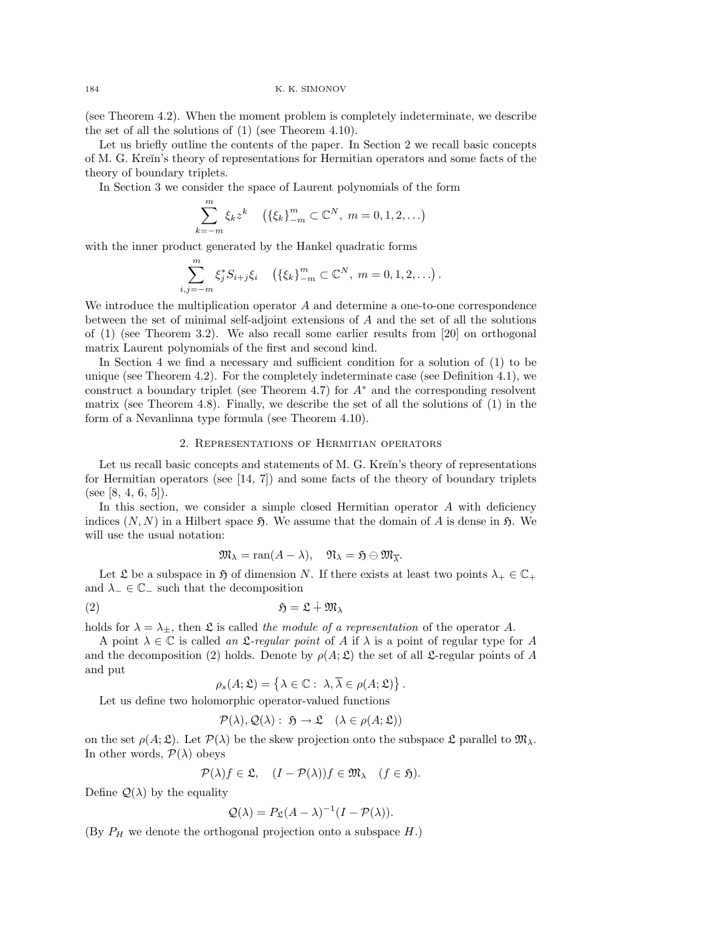(see Theorem 4.2). When the moment problem is completely indeterminate, we describe the set of all the solutions of (1) (see Theorem 4.10).

Let us briefly outline the contents of the paper. In Section 2 we recall basic concepts of M. G. Kre˘ın's theory of representations for Hermitian operators and some facts of the theory of boundary triplets.

In Section 3 we consider the space of Laurent polynomials of the form

$$
\sum_{k=-m}^{m} \xi_k z^k \quad (\{\xi_k\}_{-m}^{m} \subset \mathbb{C}^N, \ m = 0, 1, 2, \ldots)
$$

with the inner product generated by the Hankel quadratic forms

$$
\sum_{i,j=-m}^{m} \xi_j^* S_{i+j} \xi_i \quad (\{\xi_k\}_{-m}^{m} \subset \mathbb{C}^N, m = 0, 1, 2, \ldots).
$$

We introduce the multiplication operator A and determine a one-to-one correspondence between the set of minimal self-adjoint extensions of A and the set of all the solutions of (1) (see Theorem 3.2). We also recall some earlier results from [20] on orthogonal matrix Laurent polynomials of the first and second kind.

In Section 4 we find a necessary and sufficient condition for a solution of (1) to be unique (see Theorem 4.2). For the completely indeterminate case (see Definition 4.1), we construct a boundary triplet (see Theorem 4.7) for  $A^*$  and the corresponding resolvent matrix (see Theorem 4.8). Finally, we describe the set of all the solutions of  $(1)$  in the form of a Nevanlinna type formula (see Theorem 4.10).

## 2. Representations of Hermitian operators

Let us recall basic concepts and statements of M. G. Kreĭn's theory of representations for Hermitian operators (see  $[14, 7]$ ) and some facts of the theory of boundary triplets (see [8, 4, 6, 5]).

In this section, we consider a simple closed Hermitian operator  $A$  with deficiency indices  $(N, N)$  in a Hilbert space  $\mathfrak{H}$ . We assume that the domain of A is dense in  $\mathfrak{H}$ . We will use the usual notation:

$$
\mathfrak{M}_{\lambda} = \text{ran}(A - \lambda), \quad \mathfrak{N}_{\lambda} = \mathfrak{H} \ominus \mathfrak{M}_{\overline{\lambda}}.
$$

Let  $\mathfrak L$  be a subspace in  $\mathfrak H$  of dimension N. If there exists at least two points  $\lambda_+ \in \mathbb{C}_+$ and  $\lambda_-\in\mathbb{C}_-$  such that the decomposition

(2) H = L u M<sup>λ</sup>

holds for  $\lambda = \lambda_{\pm}$ , then  $\mathfrak L$  is called the module of a representation of the operator A.

A point  $\lambda \in \mathbb{C}$  is called an  $\mathcal{L}\text{-}regular point$  of A if  $\lambda$  is a point of regular type for A and the decomposition (2) holds. Denote by  $\rho(A; \mathfrak{L})$  the set of all  $\mathfrak{L}$ -regular points of A and put

$$
\rho_s(A; \mathfrak{L}) = \left\{ \lambda \in \mathbb{C} : \lambda, \overline{\lambda} \in \rho(A; \mathfrak{L}) \right\}.
$$

Let us define two holomorphic operator-valued functions

$$
\mathcal{P}(\lambda), \mathcal{Q}(\lambda): \mathfrak{H} \to \mathfrak{L} \quad (\lambda \in \rho(A; \mathfrak{L}))
$$

on the set  $\rho(A; \mathfrak{L})$ . Let  $\mathcal{P}(\lambda)$  be the skew projection onto the subspace  $\mathfrak{L}$  parallel to  $\mathfrak{M}_{\lambda}$ . In other words,  $\mathcal{P}(\lambda)$  obeys

$$
\mathcal{P}(\lambda)f \in \mathfrak{L}, \quad (I - \mathcal{P}(\lambda))f \in \mathfrak{M}_{\lambda} \quad (f \in \mathfrak{H}).
$$

Define  $\mathcal{Q}(\lambda)$  by the equality

$$
Q(\lambda) = P_{\mathfrak{L}}(A - \lambda)^{-1}(I - \mathcal{P}(\lambda)).
$$

(By  $P_H$  we denote the orthogonal projection onto a subspace  $H$ .)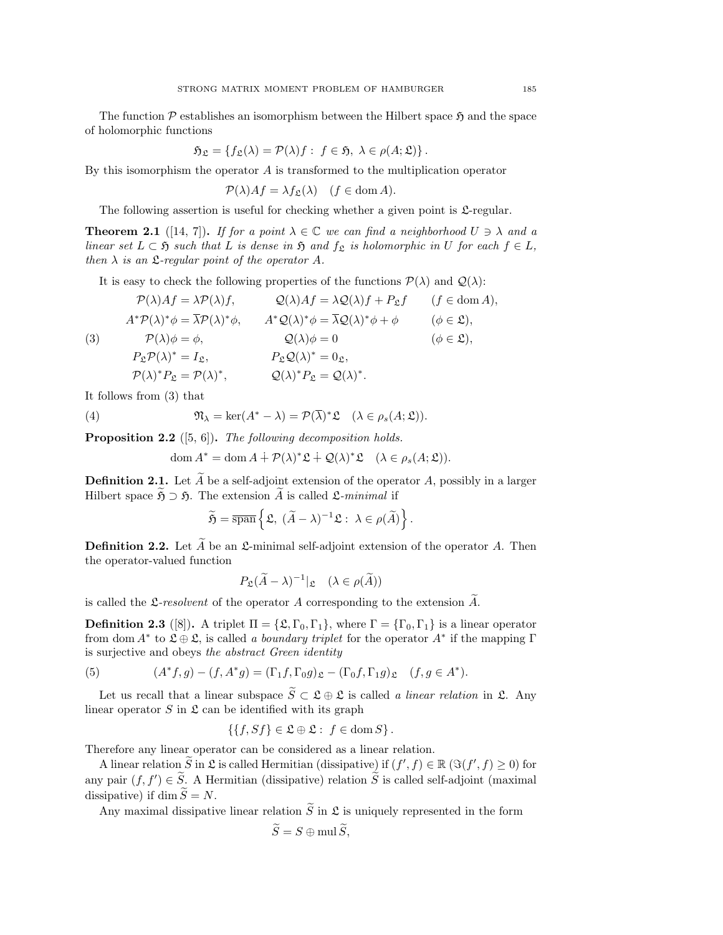The function  $P$  establishes an isomorphism between the Hilbert space  $\mathfrak{H}$  and the space of holomorphic functions

$$
\mathfrak{H}_{\mathfrak{L}} = \{ f_{\mathfrak{L}}(\lambda) = \mathcal{P}(\lambda)f : f \in \mathfrak{H}, \ \lambda \in \rho(A; \mathfrak{L}) \}.
$$

By this isomorphism the operator  $A$  is transformed to the multiplication operator

$$
\mathcal{P}(\lambda)Af = \lambda f_{\mathfrak{L}}(\lambda) \quad (f \in \text{dom } A).
$$

The following assertion is useful for checking whether a given point is  $\mathfrak{L}$ -regular.

**Theorem 2.1** ([14, 7]). If for a point  $\lambda \in \mathbb{C}$  we can find a neighborhood  $U \ni \lambda$  and a linear set  $L \subset \mathfrak{H}$  such that L is dense in  $\mathfrak{H}$  and  $f_{\mathfrak{L}}$  is holomorphic in U for each  $f \in L$ , then  $\lambda$  is an  $\mathfrak{L}$ -regular point of the operator A.

It is easy to check the following properties of the functions  $\mathcal{P}(\lambda)$  and  $\mathcal{Q}(\lambda)$ :

$$
\mathcal{P}(\lambda)Af = \lambda \mathcal{P}(\lambda)f, \qquad \mathcal{Q}(\lambda)Af = \lambda \mathcal{Q}(\lambda)f + P_{\mathfrak{L}}f \qquad (f \in \text{dom } A),
$$
  
\n
$$
A^*\mathcal{P}(\lambda)^*\phi = \overline{\lambda}\mathcal{P}(\lambda)^*\phi, \qquad A^*\mathcal{Q}(\lambda)^*\phi = \overline{\lambda}\mathcal{Q}(\lambda)^*\phi + \phi \qquad (\phi \in \mathfrak{L}),
$$
  
\n(3) 
$$
\mathcal{P}(\lambda)\phi = \phi, \qquad \mathcal{Q}(\lambda)\phi = 0 \qquad (\phi \in \mathfrak{L}),
$$
  
\n
$$
P_{\mathfrak{L}}\mathcal{P}(\lambda)^* = I_{\mathfrak{L}}, \qquad P_{\mathfrak{L}}\mathcal{Q}(\lambda)^* = 0_{\mathfrak{L}},
$$
  
\n
$$
\mathcal{P}(\lambda)^* P_{\mathfrak{L}} = \mathcal{P}(\lambda)^*, \qquad \mathcal{Q}(\lambda)^* P_{\mathfrak{L}} = \mathcal{Q}(\lambda)^*.
$$

It follows from (3) that

(4) 
$$
\mathfrak{N}_{\lambda} = \ker(A^* - \lambda) = \mathcal{P}(\overline{\lambda})^* \mathfrak{L} \quad (\lambda \in \rho_s(A; \mathfrak{L})).
$$

**Proposition 2.2** ([5, 6]). The following decomposition holds.

dom 
$$
A^* = \text{dom } A \dotplus \mathcal{P}(\lambda)^* \mathfrak{L} \dotplus \mathcal{Q}(\lambda)^* \mathfrak{L} \quad (\lambda \in \rho_s(A; \mathfrak{L})).
$$

**Definition 2.1.** Let  $\widetilde{A}$  be a self-adjoint extension of the operator A, possibly in a larger Hilbert space  $\widetilde{\mathfrak{H}} \supset \mathfrak{H}$ . The extension  $\widetilde{A}$  is called  $\mathfrak{L}\text{-minimal}$  if

$$
\widetilde{\mathfrak{H}} = \overline{\operatorname{span}} \left\{ \mathfrak{L}, \ (\widetilde{A} - \lambda)^{-1} \mathfrak{L} : \ \lambda \in \rho(\widetilde{A}) \right\}.
$$

**Definition 2.2.** Let  $\tilde{A}$  be an  $\mathfrak{L}$ -minimal self-adjoint extension of the operator A. Then the operator-valued function

$$
P_{\mathfrak{L}}(\widetilde{A} - \lambda)^{-1} |_{\mathfrak{L}} \quad (\lambda \in \rho(\widetilde{A}))
$$

is called the  $\mathfrak{L}\text{-}resolvent$  of the operator A corresponding to the extension  $\overline{A}$ .

**Definition 2.3** ([8]). A triplet  $\Pi = {\mathcal{L}, \Gamma_0, \Gamma_1}$ , where  $\Gamma = {\Gamma_0, \Gamma_1}$  is a linear operator from dom  $A^*$  to  $\mathfrak{L} \oplus \mathfrak{L}$ , is called a boundary triplet for the operator  $A^*$  if the mapping  $\Gamma$ is surjective and obeys the abstract Green identity

(5) 
$$
(A^*f,g) - (f, A^*g) = (\Gamma_1 f, \Gamma_0 g)_{\mathfrak{L}} - (\Gamma_0 f, \Gamma_1 g)_{\mathfrak{L}} \quad (f, g \in A^*).
$$

Let us recall that a linear subspace  $\widetilde{S} \subset \mathfrak{L} \oplus \mathfrak{L}$  is called a linear relation in  $\mathfrak{L}$ . Any linear operator  $S$  in  $\mathfrak L$  can be identified with its graph

$$
\{\{f, Sf\} \in \mathfrak{L} \oplus \mathfrak{L} : f \in \text{dom}\, S\}.
$$

Therefore any linear operator can be considered as a linear relation.

A linear relation  $\widetilde{S}$  in  $\mathfrak L$  is called Hermitian (dissipative) if  $(f', f) \in \mathbb R$   $(\Im(f', f) \geq 0)$  for any pair  $(f, f') \in \widetilde{S}$ . A Hermitian (dissipative) relation  $\widetilde{S}$  is called self-adjoint (maximal dissipative) if dim  $\widetilde{S} = N$ .

Any maximal dissipative linear relation  $\tilde{S}$  in  $\mathfrak L$  is uniquely represented in the form

$$
\widetilde{S} = S \oplus \text{mul } \widetilde{S},
$$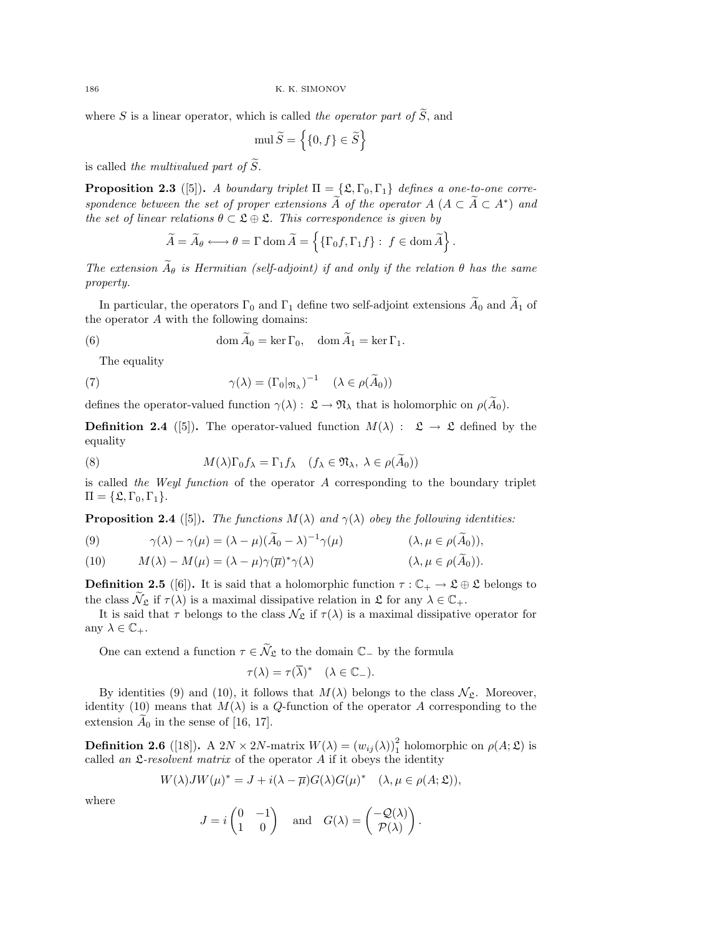where S is a linear operator, which is called the operator part of  $\widetilde{S}$ , and

$$
\text{mul}\,\widetilde{S} = \left\{ \{0, f\} \in \widetilde{S} \right\}
$$

is called the multivalued part of  $\widetilde{S}$ .

**Proposition 2.3** ([5]). A boundary triplet  $\Pi = \{\mathfrak{L}, \Gamma_0, \Gamma_1\}$  defines a one-to-one correspondence between the set of proper extensions  $\tilde{A}$  of the operator  $A (A \subset \tilde{A} \subset A^*)$  and the set of linear relations  $\theta \subset \mathfrak{L} \oplus \mathfrak{L}$ . This correspondence is given by

$$
\widetilde{A} = \widetilde{A}_{\theta} \longleftrightarrow \theta = \Gamma \operatorname{dom} \widetilde{A} = \left\{ \{\Gamma_0 f, \Gamma_1 f\} : f \in \operatorname{dom} \widetilde{A} \right\}.
$$

The extension  $\widetilde{A}_{\theta}$  is Hermitian (self-adjoint) if and only if the relation  $\theta$  has the same property.

In particular, the operators  $\Gamma_0$  and  $\Gamma_1$  define two self-adjoint extensions  $\widetilde{A}_0$  and  $\widetilde{A}_1$  of the operator A with the following domains:

(6) 
$$
\operatorname{dom} \widetilde{A}_0 = \ker \Gamma_0, \quad \operatorname{dom} \widetilde{A}_1 = \ker \Gamma_1.
$$

The equality

(7) 
$$
\gamma(\lambda) = (\Gamma_0 | \eta_\lambda)^{-1} \quad (\lambda \in \rho(\widetilde{A}_0))
$$

defines the operator-valued function  $\gamma(\lambda): \mathfrak{L} \to \mathfrak{N}_{\lambda}$  that is holomorphic on  $\rho(\widetilde{A}_0)$ .

**Definition 2.4** ([5]). The operator-valued function  $M(\lambda)$ :  $\mathfrak{L} \to \mathfrak{L}$  defined by the equality

(8) 
$$
M(\lambda)\Gamma_0 f_{\lambda} = \Gamma_1 f_{\lambda} \quad (f_{\lambda} \in \mathfrak{N}_{\lambda}, \ \lambda \in \rho(\tilde{A}_0))
$$

is called the Weyl function of the operator  $A$  corresponding to the boundary triplet  $\Pi = {\mathfrak{L}, \Gamma_0, \Gamma_1}.$ 

**Proposition 2.4** ([5]). The functions  $M(\lambda)$  and  $\gamma(\lambda)$  obey the following identities:

(9) 
$$
\gamma(\lambda) - \gamma(\mu) = (\lambda - \mu)(\widetilde{A}_0 - \lambda)^{-1}\gamma(\mu) \qquad (\lambda, \mu \in \rho(\widetilde{A}_0)),
$$

(10) 
$$
M(\lambda) - M(\mu) = (\lambda - \mu)\gamma(\overline{\mu})^*\gamma(\lambda) \qquad (\lambda, \mu \in \rho(\widetilde{A}_0)).
$$

**Definition 2.5** ([6]). It is said that a holomorphic function  $\tau : \mathbb{C}_+ \to \mathfrak{L} \oplus \mathfrak{L}$  belongs to the class  $\mathcal{N}_{\mathfrak{L}}$  if  $\tau(\lambda)$  is a maximal dissipative relation in  $\mathfrak{L}$  for any  $\lambda \in \mathbb{C}_+$ .

It is said that  $\tau$  belongs to the class  $\mathcal{N}_{\mathfrak{L}}$  if  $\tau(\lambda)$  is a maximal dissipative operator for any  $\lambda \in \mathbb{C}_+$ .

One can extend a function  $\tau \in \tilde{\mathcal{N}}_{\mathfrak{L}}$  to the domain  $\mathbb{C}_-$  by the formula

$$
\tau(\lambda) = \tau(\overline{\lambda})^* \quad (\lambda \in \mathbb{C}_-).
$$

By identities (9) and (10), it follows that  $M(\lambda)$  belongs to the class  $\mathcal{N}_{\mathfrak{L}}$ . Moreover, identity (10) means that  $M(\lambda)$  is a Q-function of the operator A corresponding to the extension  $\tilde{A}_0$  in the sense of [16, 17].

**Definition 2.6** ([18]). A  $2N \times 2N$ -matrix  $W(\lambda) = (w_{ij}(\lambda))_1^2$  holomorphic on  $\rho(A; \mathfrak{L})$  is called an  $\mathfrak{L}$ -resolvent matrix of the operator A if it obeys the identity

$$
W(\lambda)JW(\mu)^* = J + i(\lambda - \overline{\mu})G(\lambda)G(\mu)^* \quad (\lambda, \mu \in \rho(A; \mathfrak{L})),
$$

where

$$
J = i \begin{pmatrix} 0 & -1 \\ 1 & 0 \end{pmatrix} \text{ and } G(\lambda) = \begin{pmatrix} -\mathcal{Q}(\lambda) \\ \mathcal{P}(\lambda) \end{pmatrix}.
$$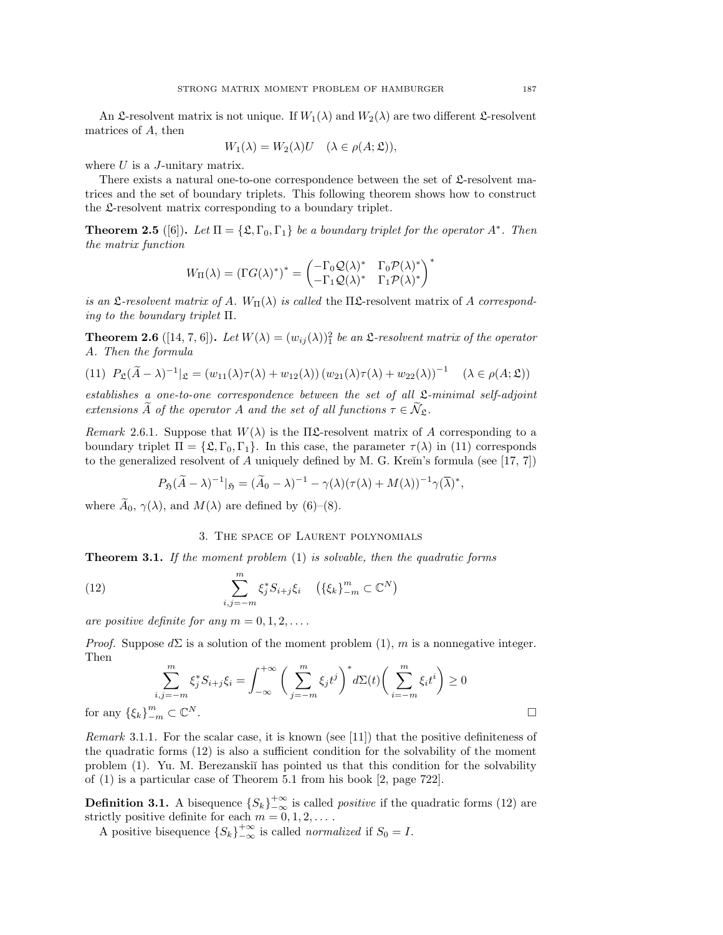An  $\mathfrak{L}$ -resolvent matrix is not unique. If  $W_1(\lambda)$  and  $W_2(\lambda)$  are two different  $\mathfrak{L}$ -resolvent matrices of A, then

$$
W_1(\lambda) = W_2(\lambda)U \quad (\lambda \in \rho(A; \mathfrak{L})),
$$

where  $U$  is a J-unitary matrix.

There exists a natural one-to-one correspondence between the set of  $\mathfrak{L}$ -resolvent matrices and the set of boundary triplets. This following theorem shows how to construct the L-resolvent matrix corresponding to a boundary triplet.

**Theorem 2.5** ([6]). Let  $\Pi = {\mathfrak{L}}, \Gamma_0, \Gamma_1$  be a boundary triplet for the operator  $A^*$ . Then the matrix function

$$
W_{\Pi}(\lambda) = (\Gamma G(\lambda))^* = \begin{pmatrix} -\Gamma_0 \mathcal{Q}(\lambda)^* & \Gamma_0 \mathcal{P}(\lambda)^* \\ -\Gamma_1 \mathcal{Q}(\lambda)^* & \Gamma_1 \mathcal{P}(\lambda)^* \end{pmatrix}^*
$$

is an L-resolvent matrix of A.  $W_{\Pi}(\lambda)$  is called the  $\Pi$ L-resolvent matrix of A corresponding to the boundary triplet Π.

**Theorem 2.6** ([14, 7, 6]). Let  $W(\lambda) = (w_{ij}(\lambda))^2$  be an  $\mathfrak{L}$ -resolvent matrix of the operator A. Then the formula

(11) 
$$
P_{\mathfrak{L}}(\widetilde{A}-\lambda)^{-1}|_{\mathfrak{L}} = (w_{11}(\lambda)\tau(\lambda)+w_{12}(\lambda))(w_{21}(\lambda)\tau(\lambda)+w_{22}(\lambda))^{-1} \quad (\lambda \in \rho(A; \mathfrak{L}))
$$

establishes a one-to-one correspondence between the set of all  $\mathfrak{L}\text{-minimal self-adjoint}$ extensions  $\widetilde{A}$  of the operator A and the set of all functions  $\tau \in \widetilde{\mathcal{N}}_{\mathfrak{L}}$ .

Remark 2.6.1. Suppose that  $W(\lambda)$  is the  $\Pi\mathfrak{L}$ -resolvent matrix of A corresponding to a boundary triplet  $\Pi = \{\mathfrak{L}, \Gamma_0, \Gamma_1\}$ . In this case, the parameter  $\tau(\lambda)$  in (11) corresponds to the generalized resolvent of A uniquely defined by M. G. Kreĭn's formula (see [17, 7])

$$
P_{\mathfrak{H}}(\widetilde{A}-\lambda)^{-1}|_{\mathfrak{H}}=(\widetilde{A}_0-\lambda)^{-1}-\gamma(\lambda)(\tau(\lambda)+M(\lambda))^{-1}\gamma(\overline{\lambda})^*,
$$

where  $\widetilde{A}_0$ ,  $\gamma(\lambda)$ , and  $M(\lambda)$  are defined by (6)–(8).

## 3. The space of Laurent polynomials

**Theorem 3.1.** If the moment problem  $(1)$  is solvable, then the quadratic forms

(12) 
$$
\sum_{i,j=-m}^{m} \xi_{j}^{*} S_{i+j} \xi_{i} \quad (\{\xi_{k}\}_{-m}^{m} \subset \mathbb{C}^{N})
$$

are positive definite for any  $m = 0, 1, 2, \ldots$ .

*Proof.* Suppose  $d\Sigma$  is a solution of the moment problem (1), m is a nonnegative integer. Then

$$
\sum_{i,j=-m}^{m} \xi_j^* S_{i+j} \xi_i = \int_{-\infty}^{+\infty} \bigg( \sum_{j=-m}^{m} \xi_j t^j \bigg)^* d\Sigma(t) \bigg( \sum_{i=-m}^{m} \xi_i t^i \bigg) \ge 0
$$

for any  $\{\xi_k\}_{k=1}^m$  $\frac{m}{-m} \subset \mathbb{C}$ 

Remark 3.1.1. For the scalar case, it is known (see [11]) that the positive definiteness of the quadratic forms (12) is also a sufficient condition for the solvability of the moment problem (1). Yu. M. Berezanskiĭ has pointed us that this condition for the solvability of (1) is a particular case of Theorem 5.1 from his book [2, page 722].

**Definition 3.1.** A bisequence  $\{S_k\}_{-\infty}^{+\infty}$  is called *positive* if the quadratic forms (12) are strictly positive definite for each  $m = 0, 1, 2, \dots$ .

A positive bisequence  $\{S_k\}_{-\infty}^{+\infty}$  is called *normalized* if  $S_0 = I$ .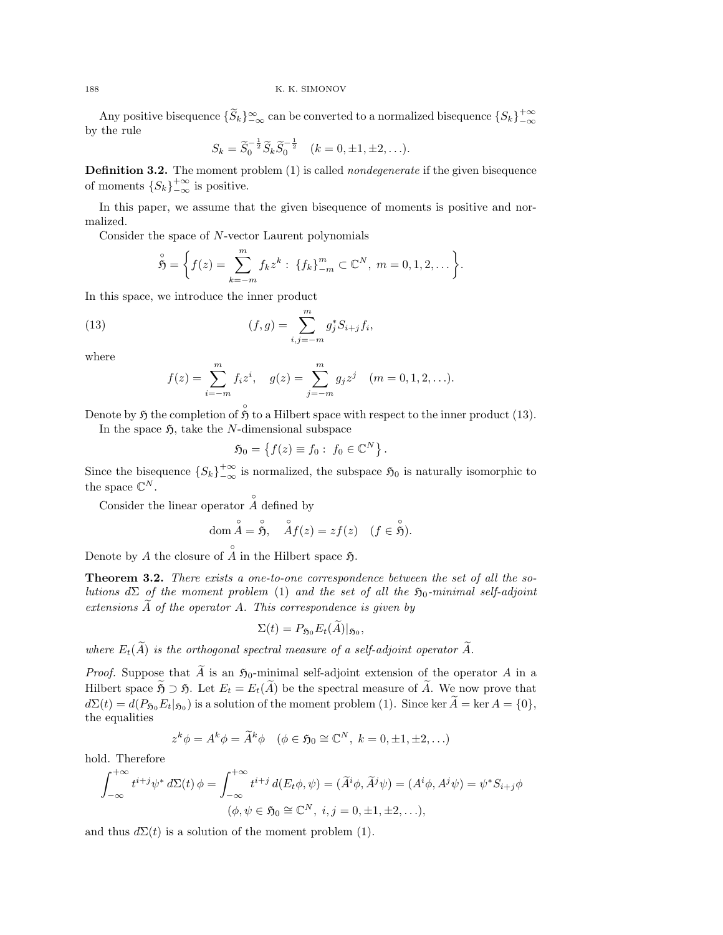Any positive bisequence  $\{\widetilde{S}_k\}_{-\infty}^{\infty}$  can be converted to a normalized bisequence  $\{S_k\}_{-\infty}^{+\infty}$ by the rule

$$
S_k = \tilde{S}_0^{-\frac{1}{2}} \tilde{S}_k \tilde{S}_0^{-\frac{1}{2}} \quad (k = 0, \pm 1, \pm 2, \ldots).
$$

Definition 3.2. The moment problem (1) is called *nondegenerate* if the given bisequence of moments  $\{S_k\}_{-\infty}^{+\infty}$  is positive.

In this paper, we assume that the given bisequence of moments is positive and normalized.

Consider the space of N-vector Laurent polynomials

$$
\overset{\circ}{\mathfrak{H}} = \bigg\{ f(z) = \sum_{k=-m}^{m} f_k z^k : \{f_k\}_{-m}^{m} \subset \mathbb{C}^N, \ m = 0, 1, 2, \dots \bigg\}.
$$

In this space, we introduce the inner product

(13) 
$$
(f,g) = \sum_{i,j=-m}^{m} g_j^* S_{i+j} f_i,
$$

where

$$
f(z) = \sum_{i=-m}^{m} f_i z^i, \quad g(z) = \sum_{j=-m}^{m} g_j z^j \quad (m = 0, 1, 2, \ldots).
$$

Denote by  $\mathfrak H$  the completion of  $\hat{\mathfrak H}$  to a Hilbert space with respect to the inner product (13).

In the space  $\mathfrak{H}$ , take the N-dimensional subspace

$$
\mathfrak{H}_0 = \left\{ f(z) \equiv f_0 : f_0 \in \mathbb{C}^N \right\}.
$$

Since the bisequence  ${S_k}^{+\infty}_{-\infty}$  is normalized, the subspace  $\mathfrak{H}_0$  is naturally isomorphic to the space  $\mathbb{C}^N$ .

Consider the linear operator  $\hat{A}$  defined by

dom 
$$
\stackrel{\circ}{A}
$$
 =  $\stackrel{\circ}{\mathfrak{H}}$ ,  $\stackrel{\circ}{A}f(z) = zf(z)$   $(f \in \stackrel{\circ}{\mathfrak{H}})$ .

Denote by A the closure of  $\hat{A}$  in the Hilbert space  $\mathfrak{H}$ .

Theorem 3.2. There exists a one-to-one correspondence between the set of all the solutions  $d\Sigma$  of the moment problem (1) and the set of all the  $\mathfrak{H}_0$ -minimal self-adjoint extensions  $\widetilde{A}$  of the operator A. This correspondence is given by

$$
\Sigma(t) = P_{\mathfrak{H}_0} E_t(A)|_{\mathfrak{H}_0},
$$

where  $E_t(\widetilde{A})$  is the orthogonal spectral measure of a self-adjoint operator  $\widetilde{A}$ .

*Proof.* Suppose that  $\widetilde{A}$  is an  $\mathfrak{H}_0$ -minimal self-adjoint extension of the operator A in a Hilbert space  $\widetilde{\mathfrak{H}} \supset \mathfrak{H}$ . Let  $E_t = E_t(\widetilde{A})$  be the spectral measure of  $\widetilde{A}$ . We now prove that  $d\Sigma(t) = d(P_{\mathfrak{H}_0} E_t|_{\mathfrak{H}_0})$  is a solution of the moment problem (1). Since ker  $A = \text{ker } A = \{0\},$ the equalities

$$
z^k \phi = A^k \phi = \widetilde{A}^k \phi \quad (\phi \in \mathfrak{H}_0 \cong \mathbb{C}^N, \ k = 0, \pm 1, \pm 2, \ldots)
$$

hold. Therefore

$$
\int_{-\infty}^{+\infty} t^{i+j} \psi^* d\Sigma(t) \phi = \int_{-\infty}^{+\infty} t^{i+j} d(E_t \phi, \psi) = (\tilde{A}^i \phi, \tilde{A}^j \psi) = (A^i \phi, A^j \psi) = \psi^* S_{i+j} \phi
$$

$$
(\phi, \psi \in \mathfrak{H}_0 \cong \mathbb{C}^N, i, j = 0, \pm 1, \pm 2, \ldots),
$$

and thus  $d\Sigma(t)$  is a solution of the moment problem (1).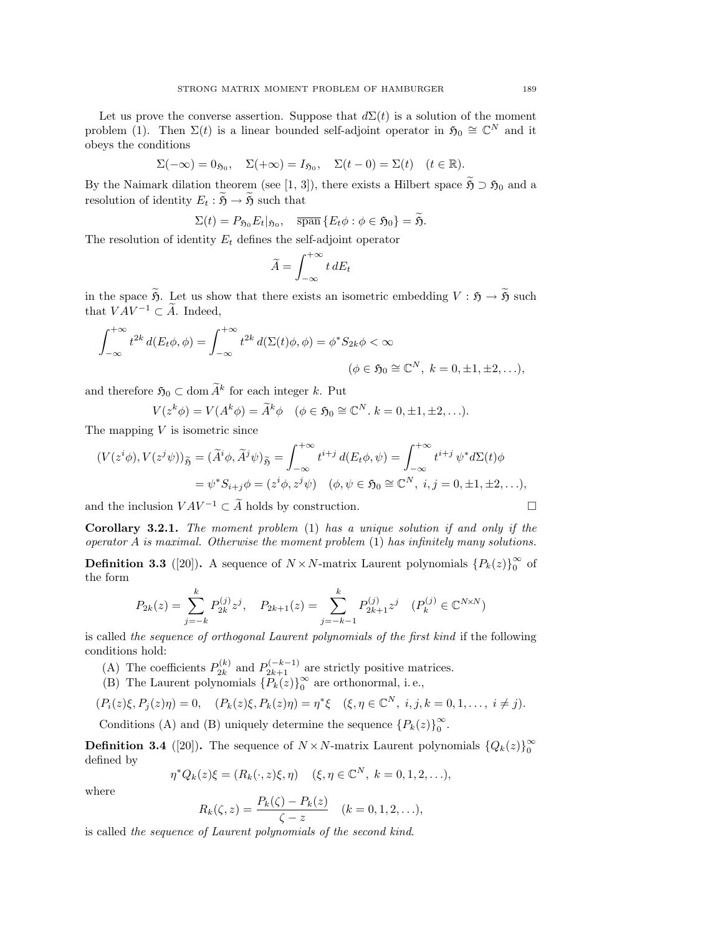Let us prove the converse assertion. Suppose that  $d\Sigma(t)$  is a solution of the moment problem (1). Then  $\Sigma(t)$  is a linear bounded self-adjoint operator in  $\mathfrak{H}_0 \cong \mathbb{C}^N$  and it obeys the conditions

$$
\Sigma(-\infty) = 0_{\mathfrak{H}_0}, \quad \Sigma(+\infty) = I_{\mathfrak{H}_0}, \quad \Sigma(t-0) = \Sigma(t) \quad (t \in \mathbb{R}).
$$

By the Naimark dilation theorem (see [1, 3]), there exists a Hilbert space  $\widetilde{\mathfrak{H}} \supset \mathfrak{H}_0$  and a resolution of identity  $E_t : \widetilde{\mathfrak{H}} \to \widetilde{\mathfrak{H}}$  such that

$$
\Sigma(t) = P_{\mathfrak{H}_0} E_t |_{\mathfrak{H}_0}, \quad \overline{\operatorname{span}} \{ E_t \phi : \phi \in \mathfrak{H}_0 \} = \widetilde{\mathfrak{H}}.
$$

The resolution of identity  $E_t$  defines the self-adjoint operator

$$
\widetilde{A} = \int_{-\infty}^{+\infty} t \, dE_t
$$

in the space  $\widetilde{\mathfrak{H}}$ . Let us show that there exists an isometric embedding  $V : \mathfrak{H} \to \widetilde{\mathfrak{H}}$  such that  $VAV^{-1} \subset \widetilde{A}.$  Indeed,

$$
\int_{-\infty}^{+\infty} t^{2k} d(E_t \phi, \phi) = \int_{-\infty}^{+\infty} t^{2k} d(\Sigma(t) \phi, \phi) = \phi^* S_{2k} \phi < \infty
$$
\n
$$
(\phi \in \mathfrak{H}_0 \cong \mathbb{C}^N, \ k = 0, \pm 1, \pm 2, \ldots),
$$

and therefore  $\mathfrak{H}_0 \subset \text{dom } \widetilde{A}^k$  for each integer k. Put

 $V(z^k \phi) = V(A^k \phi) = \widetilde{A}^k \phi \quad (\phi \in \mathfrak{H}_0 \cong \mathbb{C}^N. \ k = 0, \pm 1, \pm 2, \ldots).$ 

The mapping  $V$  is isometric since

$$
(V(zi\phi), V(zj\psi))_{\widetilde{\mathfrak{H}}} = (\widetilde{A}^i\phi, \widetilde{A}^j\psi)_{\widetilde{\mathfrak{H}}} = \int_{-\infty}^{+\infty} t^{i+j} d(E_t\phi, \psi) = \int_{-\infty}^{+\infty} t^{i+j} \psi^* d\Sigma(t)\phi
$$
  
=  $\psi^* S_{i+j} \phi = (z^i\phi, z^j\psi) \quad (\phi, \psi \in \mathfrak{H}_0 \cong \mathbb{C}^N, i, j = 0, \pm 1, \pm 2, ...),$ 

and the inclusion  $VAV^{-1} \subset \widetilde{A}$  holds by construction.

Corollary 3.2.1. The moment problem (1) has a unique solution if and only if the operator  $A$  is maximal. Otherwise the moment problem  $(1)$  has infinitely many solutions.

**Definition 3.3** ([20]). A sequence of  $N \times N$ -matrix Laurent polynomials  ${P_k(z)}_0^{\infty}$  $\frac{\infty}{0}$  of the form

$$
P_{2k}(z) = \sum_{j=-k}^{k} P_{2k}^{(j)} z^j, \quad P_{2k+1}(z) = \sum_{j=-k-1}^{k} P_{2k+1}^{(j)} z^j \quad (P_k^{(j)} \in \mathbb{C}^{N \times N})
$$

is called the sequence of orthogonal Laurent polynomials of the first kind if the following conditions hold:

- (A) The coefficients  $P_{2k}^{(k)}$  $p_{2k}^{(k)}$  and  $P_{2k+1}^{(-k-1)}$  are strictly positive matrices.
- (B) The Laurent polynomials  $\{P_k(z)\}_0^\infty$  $_{0}^{\infty}$  are orthonormal, i.e.,

$$
(P_i(z)\xi, P_j(z)\eta) = 0, \quad (P_k(z)\xi, P_k(z)\eta) = \eta^* \xi \quad (\xi, \eta \in \mathbb{C}^N, \ i, j, k = 0, 1, \dots, \ i \neq j).
$$

Conditions (A) and (B) uniquely determine the sequence  ${P_k(z)}_0^{\infty}$  $_{0}^{\infty}$ .

**Definition 3.4** ([20]). The sequence of  $N \times N$ -matrix Laurent polynomials  ${Q_k(z)}_0^{\infty}$ 0 defined by

 $\eta^* Q_k(z) \xi = (R_k(\cdot, z) \xi, \eta) \quad (\xi, \eta \in \mathbb{C}^N, \ k = 0, 1, 2, \ldots),$ 

where

$$
R_k(\zeta, z) = \frac{P_k(\zeta) - P_k(z)}{\zeta - z} \quad (k = 0, 1, 2, \ldots),
$$

is called the sequence of Laurent polynomials of the second kind.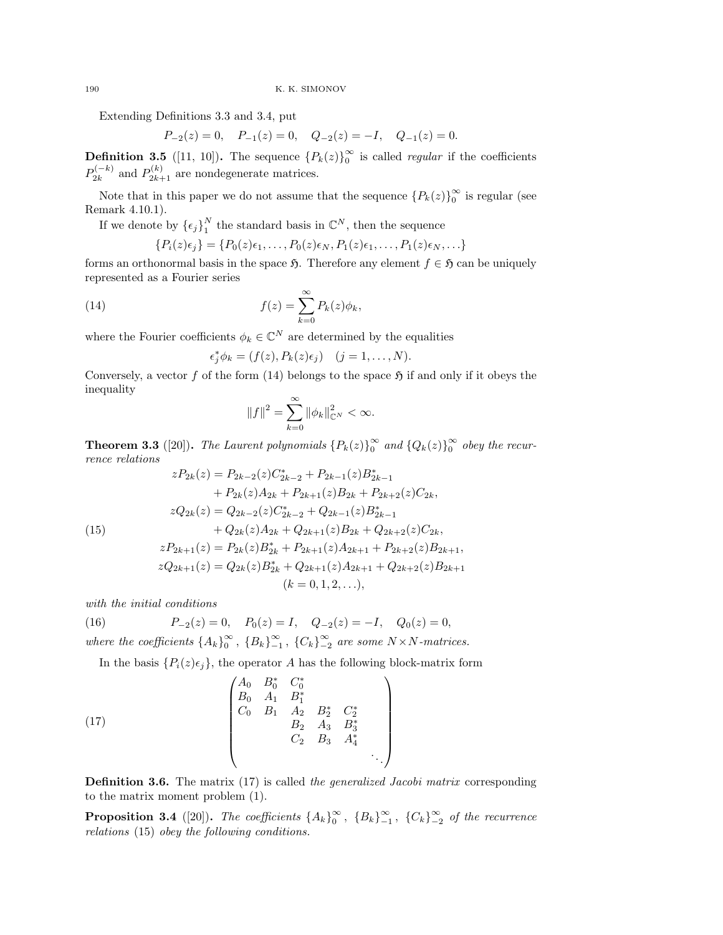Extending Definitions 3.3 and 3.4, put

$$
P_{-2}(z) = 0
$$
,  $P_{-1}(z) = 0$ ,  $Q_{-2}(z) = -I$ ,  $Q_{-1}(z) = 0$ .

**Definition 3.5** ([11, 10]). The sequence  ${P_k(z)}_0^{\infty}$  $\int_{0}^{\infty}$  is called *regular* if the coefficients  $P_{2k}^{(-k)}$  $p_{2k}^{(-k)}$  and  $P_{2k+1}^{(k)}$  are nondegenerate matrices.

Note that in this paper we do not assume that the sequence  ${P_k(z)}_0^{\infty}$  $\int_{0}^{\infty}$  is regular (see Remark 4.10.1).

If we denote by  $\{\epsilon_j\}_1^N$  $_1^N$  the standard basis in  $\mathbb{C}^N$ , then the sequence

$$
\{P_i(z)\epsilon_j\} = \{P_0(z)\epsilon_1,\ldots,P_0(z)\epsilon_N,P_1(z)\epsilon_1,\ldots,P_1(z)\epsilon_N,\ldots\}
$$

forms an orthonormal basis in the space  $\mathfrak{H}$ . Therefore any element  $f \in \mathfrak{H}$  can be uniquely represented as a Fourier series

(14) 
$$
f(z) = \sum_{k=0}^{\infty} P_k(z) \phi_k,
$$

where the Fourier coefficients  $\phi_k \in \mathbb{C}^N$  are determined by the equalities

$$
\epsilon_j^* \phi_k = (f(z), P_k(z)\epsilon_j) \quad (j = 1, \dots, N).
$$

Conversely, a vector f of the form (14) belongs to the space  $\mathfrak{H}$  if and only if it obeys the inequality

$$
\left\|f\right\|^2=\sum_{k=0}^\infty \|\phi_k\|_{\mathbb{C}^N}^2<\infty.
$$

**Theorem 3.3** ([20]). The Laurent polynomials  ${P_k(z)}_0^{\infty}$  $\int_0^\infty$  and  $\{Q_k(z)\}_0^\infty$  $\int_{0}^{\infty}$  obey the recurrence relations

(15)  
\n
$$
zP_{2k}(z) = P_{2k-2}(z)C_{2k-2}^{*} + P_{2k-1}(z)B_{2k-1}^{*}
$$
\n
$$
+ P_{2k}(z)A_{2k} + P_{2k+1}(z)B_{2k} + P_{2k+2}(z)C_{2k},
$$
\n
$$
zQ_{2k}(z) = Q_{2k-2}(z)C_{2k-2}^{*} + Q_{2k-1}(z)B_{2k-1}^{*}
$$
\n
$$
+ Q_{2k}(z)A_{2k} + Q_{2k+1}(z)B_{2k} + Q_{2k+2}(z)C_{2k},
$$
\n
$$
zP_{2k+1}(z) = P_{2k}(z)B_{2k}^{*} + P_{2k+1}(z)A_{2k+1} + P_{2k+2}(z)B_{2k+1},
$$
\n
$$
zQ_{2k+1}(z) = Q_{2k}(z)B_{2k}^{*} + Q_{2k+1}(z)A_{2k+1} + Q_{2k+2}(z)B_{2k+1}
$$
\n
$$
(k = 0, 1, 2, ...),
$$

with the initial conditions

(16) 
$$
P_{-2}(z) = 0
$$
,  $P_0(z) = I$ ,  $Q_{-2}(z) = -I$ ,  $Q_0(z) = 0$ ,  
where the coefficients  $\{A_k\}_0^{\infty}$ ,  $\{B_k\}_{-1}^{\infty}$ ,  $\{C_k\}_{-2}^{\infty}$  are some  $N \times N$ -matrices.

In the basis  $\{P_i(z)\epsilon_j\}$ , the operator A has the following block-matrix form

(17) 
$$
\begin{pmatrix}\nA_0 & B_0^* & C_0^* \\
B_0 & A_1 & B_1^* \\
C_0 & B_1 & A_2 & B_2^* & C_2^* \\
B_2 & A_3 & B_3^* \\
C_2 & B_3 & A_4^* \\
& & & & \ddots\n\end{pmatrix}
$$

**Definition 3.6.** The matrix (17) is called the generalized Jacobi matrix corresponding to the matrix moment problem (1).

**Proposition 3.4** ([20]). The coefficients  $\{A_k\}_0^{\infty}$  $\int_0^\infty$ ,  ${B_k}_{-1}^\infty$ ,  ${C_k}_{-2}^\infty$  of the recurrence relations (15) obey the following conditions.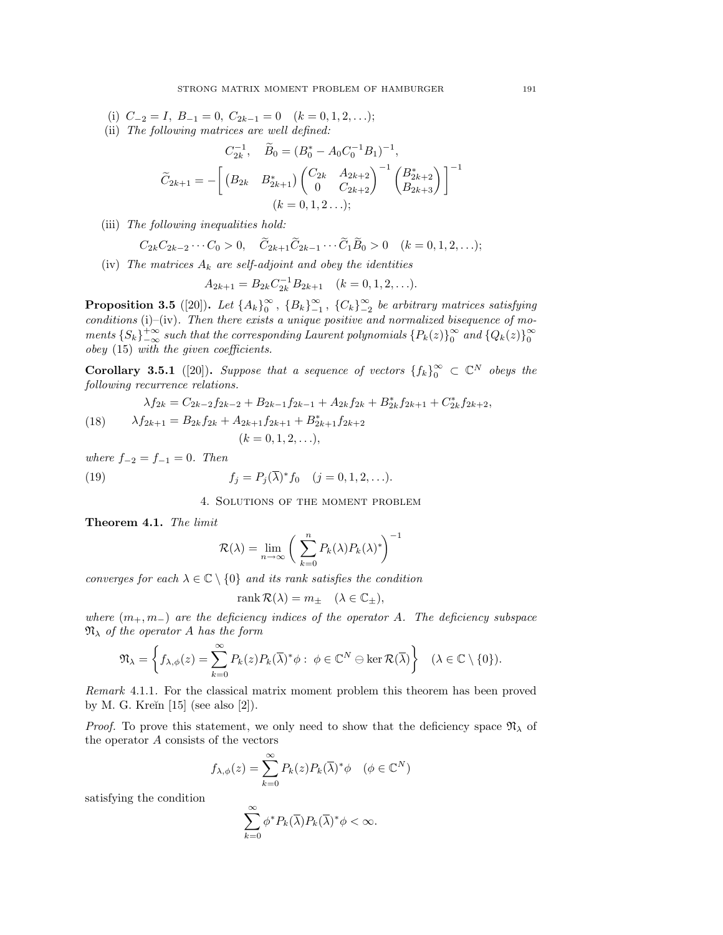- (i)  $C_{-2} = I$ ,  $B_{-1} = 0$ ,  $C_{2k-1} = 0$   $(k = 0, 1, 2, ...)$ ;
- (ii) The following matrices are well defined:

$$
C_{2k}^{-1}, \quad \widetilde{B}_0 = (B_0^* - A_0 C_0^{-1} B_1)^{-1},
$$
  

$$
\widetilde{C}_{2k+1} = -\left[ \begin{array}{cc} (B_{2k} & B_{2k+1}^*) \begin{pmatrix} C_{2k} & A_{2k+2} \\ 0 & C_{2k+2} \end{pmatrix}^{-1} \begin{pmatrix} B_{2k+2}^* \\ B_{2k+3} \end{pmatrix} \right]^{-1}
$$
  

$$
(k = 0, 1, 2 \ldots);
$$

(iii) The following inequalities hold:

$$
C_{2k}C_{2k-2}\cdots C_0 > 0
$$
,  $\widetilde{C}_{2k+1}\widetilde{C}_{2k-1}\cdots \widetilde{C}_1\widetilde{B}_0 > 0$   $(k = 0, 1, 2, \ldots);$ 

(iv) The matrices  $A_k$  are self-adjoint and obey the identities

$$
A_{2k+1} = B_{2k} C_{2k}^{-1} B_{2k+1} \quad (k = 0, 1, 2, \ldots).
$$

Proposition 3.5 ([20]). Let  $\{A_k\}_0^\infty$  $\int_0^\infty$ ,  ${B_k}_{-1}^\infty$ ,  ${C_k}_{-2}^\infty$  be arbitrary matrices satisfying conditions (i)–(iv). Then there exists a unique positive and normalized bisequence of moments  $\{S_k\}_{-\infty}^{+\infty}$  such that the corresponding Laurent polynomials  $\{P_k(z)\}_0^{\infty}$  $\int_0^\infty$  and  $\{Q_k(z)\}_0^\infty$ 0 obey (15) with the given coefficients.

**Corollary 3.5.1** ([20]). Suppose that a sequence of vectors  $\{f_k\}_0^\infty \subset \mathbb{C}^N$  obeys the following recurrence relations.

(18) 
$$
\lambda f_{2k} = C_{2k-2} f_{2k-2} + B_{2k-1} f_{2k-1} + A_{2k} f_{2k} + B_{2k}^* f_{2k+1} + C_{2k}^* f_{2k+2},
$$

$$
\lambda f_{2k+1} = B_{2k} f_{2k} + A_{2k+1} f_{2k+1} + B_{2k+1}^* f_{2k+2}
$$

$$
(k = 0, 1, 2, ...),
$$

where  $f_{-2} = f_{-1} = 0$ . Then

(19) 
$$
f_j = P_j(\overline{\lambda})^* f_0 \quad (j = 0, 1, 2, ...).
$$

4. Solutions of the moment problem

Theorem 4.1. The limit

$$
\mathcal{R}(\lambda) = \lim_{n \to \infty} \left( \sum_{k=0}^{n} P_k(\lambda) P_k(\lambda)^* \right)^{-1}
$$

converges for each  $\lambda \in \mathbb{C} \setminus \{0\}$  and its rank satisfies the condition

$$
rank R(\lambda) = m_{\pm} \quad (\lambda \in \mathbb{C}_{\pm}),
$$

where  $(m_+, m_-)$  are the deficiency indices of the operator A. The deficiency subspace  $\mathfrak{N}_{\lambda}$  of the operator A has the form

$$
\mathfrak{N}_{\lambda} = \left\{ f_{\lambda, \phi}(z) = \sum_{k=0}^{\infty} P_k(z) P_k(\overline{\lambda})^* \phi : \phi \in \mathbb{C}^N \ominus \ker \mathcal{R}(\overline{\lambda}) \right\} \quad (\lambda \in \mathbb{C} \setminus \{0\}).
$$

Remark 4.1.1. For the classical matrix moment problem this theorem has been proved by M. G. Kreĭn  $[15]$  (see also  $[2]$ ).

*Proof.* To prove this statement, we only need to show that the deficiency space  $\mathfrak{N}_{\lambda}$  of the operator A consists of the vectors

$$
f_{\lambda,\phi}(z) = \sum_{k=0}^{\infty} P_k(z) P_k(\overline{\lambda})^* \phi \quad (\phi \in \mathbb{C}^N)
$$

satisfying the condition

$$
\sum_{k=0}^{\infty} \phi^* P_k(\overline{\lambda}) P_k(\overline{\lambda})^* \phi < \infty.
$$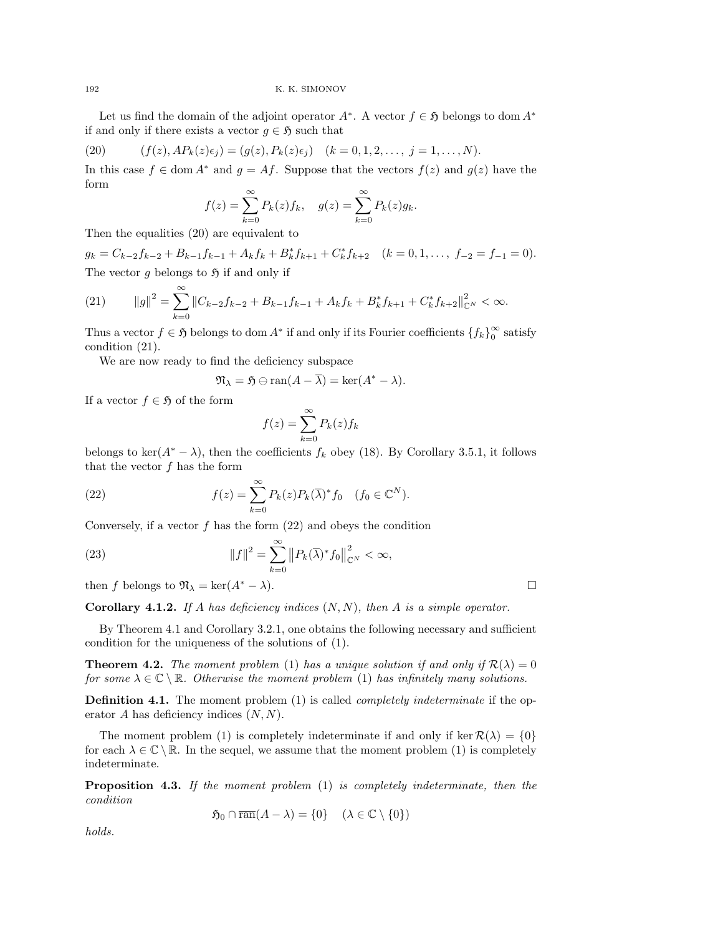Let us find the domain of the adjoint operator  $A^*$ . A vector  $f \in \mathfrak{H}$  belongs to dom  $A^*$ if and only if there exists a vector  $g \in \mathfrak{H}$  such that

(20) 
$$
(f(z), AP_k(z)\epsilon_j) = (g(z), P_k(z)\epsilon_j) \quad (k = 0, 1, 2, \ldots, j = 1, \ldots, N).
$$

In this case  $f \in \text{dom } A^*$  and  $g = Af$ . Suppose that the vectors  $f(z)$  and  $g(z)$  have the form

$$
f(z) = \sum_{k=0}^{\infty} P_k(z) f_k, \quad g(z) = \sum_{k=0}^{\infty} P_k(z) g_k.
$$

Then the equalities (20) are equivalent to

 $g_k = C_{k-2}f_{k-2} + B_{k-1}f_{k-1} + A_kf_k + B_k^*f_{k+1} + C_k^*f_{k+2} \quad (k = 0, 1, \ldots, f_{-2} = f_{-1} = 0).$ The vector g belongs to  $\mathfrak H$  if and only if

(21) 
$$
||g||^2 = \sum_{k=0}^{\infty} ||C_{k-2}f_{k-2} + B_{k-1}f_{k-1} + A_kf_k + B_k^*f_{k+1} + C_k^*f_{k+2}||_{\mathbb{C}^N}^2 < \infty.
$$

Thus a vector  $f \in \mathfrak{H}$  belongs to dom  $A^*$  if and only if its Fourier coefficients  $\{f_k\}_0^{\infty}$  $_0^{\infty}$  satisfy condition (21).

We are now ready to find the deficiency subspace

$$
\mathfrak{N}_{\lambda} = \mathfrak{H} \ominus \text{ran}(A - \overline{\lambda}) = \text{ker}(A^* - \lambda).
$$

If a vector  $f \in \mathfrak{H}$  of the form

$$
f(z) = \sum_{k=0}^{\infty} P_k(z) f_k
$$

belongs to ker( $A^* - \lambda$ ), then the coefficients  $f_k$  obey (18). By Corollary 3.5.1, it follows that the vector  $f$  has the form

(22) 
$$
f(z) = \sum_{k=0}^{\infty} P_k(z) P_k(\overline{\lambda})^* f_0 \quad (f_0 \in \mathbb{C}^N).
$$

Conversely, if a vector  $f$  has the form  $(22)$  and obeys the condition

(23) 
$$
||f||^2 = \sum_{k=0}^{\infty} ||P_k(\overline{\lambda})^* f_0||_{\mathbb{C}^N}^2 < \infty,
$$

then f belongs to  $\mathfrak{N}_{\lambda} = \ker(A^* - \lambda)$ .

**Corollary 4.1.2.** If A has deficiency indices  $(N, N)$ , then A is a simple operator.

By Theorem 4.1 and Corollary 3.2.1, one obtains the following necessary and sufficient condition for the uniqueness of the solutions of (1).

**Theorem 4.2.** The moment problem (1) has a unique solution if and only if  $\mathcal{R}(\lambda) = 0$ for some  $\lambda \in \mathbb{C} \setminus \mathbb{R}$ . Otherwise the moment problem (1) has infinitely many solutions.

**Definition 4.1.** The moment problem (1) is called *completely indeterminate* if the operator  $A$  has deficiency indices  $(N, N)$ .

The moment problem (1) is completely indeterminate if and only if ker  $\mathcal{R}(\lambda) = \{0\}$ for each  $\lambda \in \mathbb{C} \setminus \mathbb{R}$ . In the sequel, we assume that the moment problem (1) is completely indeterminate.

**Proposition 4.3.** If the moment problem  $(1)$  is completely indeterminate, then the condition

 $\mathfrak{H}_0 \cap \overline{\operatorname{ran}}(A - \lambda) = \{0\} \quad (\lambda \in \mathbb{C} \setminus \{0\})$ 

holds.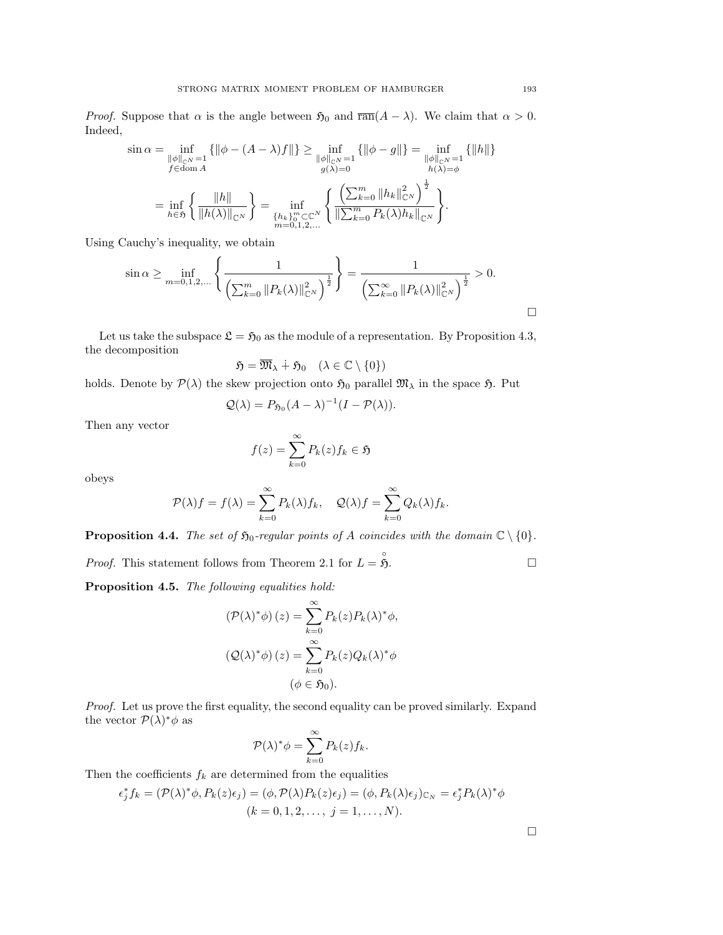*Proof.* Suppose that  $\alpha$  is the angle between  $\mathfrak{H}_0$  and  $\overline{ran}(A - \lambda)$ . We claim that  $\alpha > 0$ . Indeed,

$$
\sin \alpha = \inf_{\begin{subarray}{l} \|\phi\|_{\mathbb{C}^N} = 1 \\ f \in \text{dom } A \end{subarray}} \{ \|\phi - (A - \lambda)f\| \} \ge \inf_{\begin{subarray}{l} \|\phi\|_{\mathbb{C}^N} = 1 \\ g(\lambda) = 0 \end{subarray}} \{ \|\phi - g\| \} = \inf_{\begin{subarray}{l} \|\phi\|_{\mathbb{C}^N} = 1 \\ h(\lambda) = \phi \end{subarray}} \{ \|\boldsymbol{h}\| \}
$$

$$
= \inf_{\boldsymbol{h} \in \mathfrak{H}} \left\{ \frac{\|\boldsymbol{h}\|}{\|\boldsymbol{h}(\lambda)\|_{\mathbb{C}^N}} \right\} = \inf_{\begin{subarray}{l} \{\boldsymbol{h}_k\}_{0}^{m} \subset \mathbb{C}^N \\ m = 0, 1, 2, \dots \end{subarray}} \left\{ \frac{\left(\sum_{k=0}^m \|h_k\|_{\mathbb{C}^N}^2\right)^{\frac{1}{2}}}{\|\sum_{k=0}^m P_k(\lambda)h_k\|_{\mathbb{C}^N}} \right\}.
$$

Using Cauchy's inequality, we obtain

$$
\sin \alpha \ge \inf_{m=0,1,2,...} \left\{ \frac{1}{\left(\sum_{k=0}^m ||P_k(\lambda)||_{\mathbb{C}^N}^2\right)^{\frac{1}{2}}} \right\} = \frac{1}{\left(\sum_{k=0}^\infty ||P_k(\lambda)||_{\mathbb{C}^N}^2\right)^{\frac{1}{2}}} > 0.
$$

Let us take the subspace  $\mathfrak{L} = \mathfrak{H}_0$  as the module of a representation. By Proposition 4.3, the decomposition

$$
\mathfrak{H} = \overline{\mathfrak{M}}_{\lambda} \dotplus \mathfrak{H}_0 \quad (\lambda \in \mathbb{C} \setminus \{0\})
$$

holds. Denote by  $\mathcal{P}(\lambda)$  the skew projection onto  $\mathfrak{H}_0$  parallel  $\mathfrak{M}_\lambda$  in the space  $\mathfrak{H}$ . Put

$$
Q(\lambda) = P_{\mathfrak{H}_0}(A - \lambda)^{-1}(I - \mathcal{P}(\lambda)).
$$

Then any vector

$$
f(z) = \sum_{k=0}^{\infty} P_k(z) f_k \in \mathfrak{H}
$$

obeys

$$
\mathcal{P}(\lambda)f = f(\lambda) = \sum_{k=0}^{\infty} P_k(\lambda)f_k, \quad \mathcal{Q}(\lambda)f = \sum_{k=0}^{\infty} Q_k(\lambda)f_k.
$$

**Proposition 4.4.** The set of  $\mathfrak{H}_0$ -regular points of A coincides with the domain  $\mathbb{C} \setminus \{0\}$ .

*Proof.* This statement follows from Theorem 2.1 for  $L = \hat{S}$  $\tilde{\mathfrak{H}}$ .

Proposition 4.5. The following equalities hold:

$$
(\mathcal{P}(\lambda)^*\phi)(z) = \sum_{k=0}^{\infty} P_k(z)P_k(\lambda)^*\phi,
$$
  

$$
(\mathcal{Q}(\lambda)^*\phi)(z) = \sum_{k=0}^{\infty} P_k(z)Q_k(\lambda)^*\phi
$$
  

$$
(\phi \in \mathfrak{H}_0).
$$

Proof. Let us prove the first equality, the second equality can be proved similarly. Expand the vector  $\mathcal{P}(\lambda)^*\phi$  as

$$
\mathcal{P}(\lambda)^{*}\phi = \sum_{k=0}^{\infty} P_k(z) f_k.
$$

Then the coefficients  $f_k$  are determined from the equalities

$$
\epsilon_j^* f_k = (\mathcal{P}(\lambda)^* \phi, P_k(z) \epsilon_j) = (\phi, \mathcal{P}(\lambda) P_k(z) \epsilon_j) = (\phi, P_k(\lambda) \epsilon_j)_{\mathbb{C}_N} = \epsilon_j^* P_k(\lambda)^* \phi
$$
  

$$
(k = 0, 1, 2, \dots, j = 1, \dots, N).
$$

 $\Box$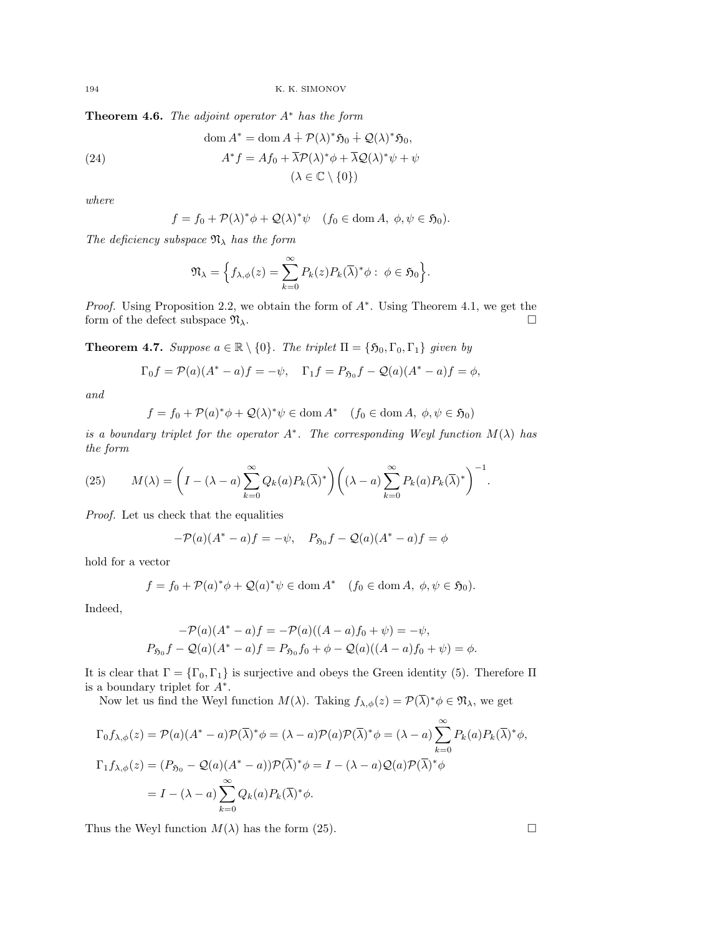Theorem 4.6. The adjoint operator  $A^*$  has the form

(24) 
$$
\text{dom } A^* = \text{dom } A + \mathcal{P}(\lambda)^* \mathfrak{H}_0 + \mathcal{Q}(\lambda)^* \mathfrak{H}_0,
$$

$$
A^* f = A f_0 + \overline{\lambda} \mathcal{P}(\lambda)^* \phi + \overline{\lambda} \mathcal{Q}(\lambda)^* \psi + \psi
$$

$$
(\lambda \in \mathbb{C} \setminus \{0\})
$$

where

$$
f = f_0 + \mathcal{P}(\lambda)^* \phi + \mathcal{Q}(\lambda)^* \psi \quad (f_0 \in \text{dom } A, \ \phi, \psi \in \mathfrak{H}_0).
$$

The deficiency subspace  $\mathfrak{N}_{\lambda}$  has the form

$$
\mathfrak{N}_{\lambda} = \Big\{ f_{\lambda,\phi}(z) = \sum_{k=0}^{\infty} P_k(z) P_k(\overline{\lambda})^* \phi : \phi \in \mathfrak{H}_0 \Big\}.
$$

*Proof.* Using Proposition 2.2, we obtain the form of  $A^*$ . Using Theorem 4.1, we get the form of the defect subspace  $\mathfrak{N}_{\lambda}$ .

**Theorem 4.7.** Suppose  $a \in \mathbb{R} \setminus \{0\}$ . The triplet  $\Pi = \{\mathfrak{H}_0, \Gamma_0, \Gamma_1\}$  given by

$$
\Gamma_0 f = \mathcal{P}(a)(A^* - a)f = -\psi, \quad \Gamma_1 f = P_{\mathfrak{H}_0} f - \mathcal{Q}(a)(A^* - a)f = \phi,
$$

and

$$
f = f_0 + \mathcal{P}(a)^* \phi + \mathcal{Q}(\lambda)^* \psi \in \text{dom}\, A^* \quad (f_0 \in \text{dom}\, A, \ \phi, \psi \in \mathfrak{H}_0)
$$

is a boundary triplet for the operator  $A^*$ . The corresponding Weyl function  $M(\lambda)$  has the form

(25) 
$$
M(\lambda) = \left(I - (\lambda - a) \sum_{k=0}^{\infty} Q_k(a) P_k(\overline{\lambda})^*\right) \left((\lambda - a) \sum_{k=0}^{\infty} P_k(a) P_k(\overline{\lambda})^*\right)^{-1}.
$$

Proof. Let us check that the equalities

$$
-P(a)(A^* - a)f = -\psi, \quad P_{50}f - Q(a)(A^* - a)f = \phi
$$

hold for a vector

$$
f = f_0 + \mathcal{P}(a)^* \phi + \mathcal{Q}(a)^* \psi \in \text{dom}\, A^* \quad (f_0 \in \text{dom}\, A, \ \phi, \psi \in \mathfrak{H}_0).
$$

Indeed,

$$
-P(a)(A^* - a)f = -P(a)((A - a)f_0 + \psi) = -\psi,
$$
  
\n
$$
P_{5_0}f - Q(a)(A^* - a)f = P_{5_0}f_0 + \phi - Q(a)((A - a)f_0 + \psi) = \phi.
$$

It is clear that  $\Gamma = {\Gamma_0, \Gamma_1}$  is surjective and obeys the Green identity (5). Therefore  $\Pi$ is a boundary triplet for  $A^*$ .

Now let us find the Weyl function  $M(\lambda)$ . Taking  $f_{\lambda,\phi}(z) = \mathcal{P}(\overline{\lambda})^*\phi \in \mathfrak{N}_{\lambda}$ , we get

$$
\Gamma_0 f_{\lambda,\phi}(z) = \mathcal{P}(a)(A^* - a)\mathcal{P}(\overline{\lambda})^* \phi = (\lambda - a)\mathcal{P}(a)\mathcal{P}(\overline{\lambda})^* \phi = (\lambda - a)\sum_{k=0}^{\infty} P_k(a)P_k(\overline{\lambda})^* \phi,
$$
  

$$
\Gamma_1 f_{\lambda,\phi}(z) = (P_{\mathfrak{H}_0} - \mathcal{Q}(a)(A^* - a))\mathcal{P}(\overline{\lambda})^* \phi = I - (\lambda - a)\mathcal{Q}(a)\mathcal{P}(\overline{\lambda})^* \phi
$$
  

$$
= I - (\lambda - a)\sum_{k=0}^{\infty} Q_k(a)P_k(\overline{\lambda})^* \phi.
$$

Thus the Weyl function  $M(\lambda)$  has the form (25).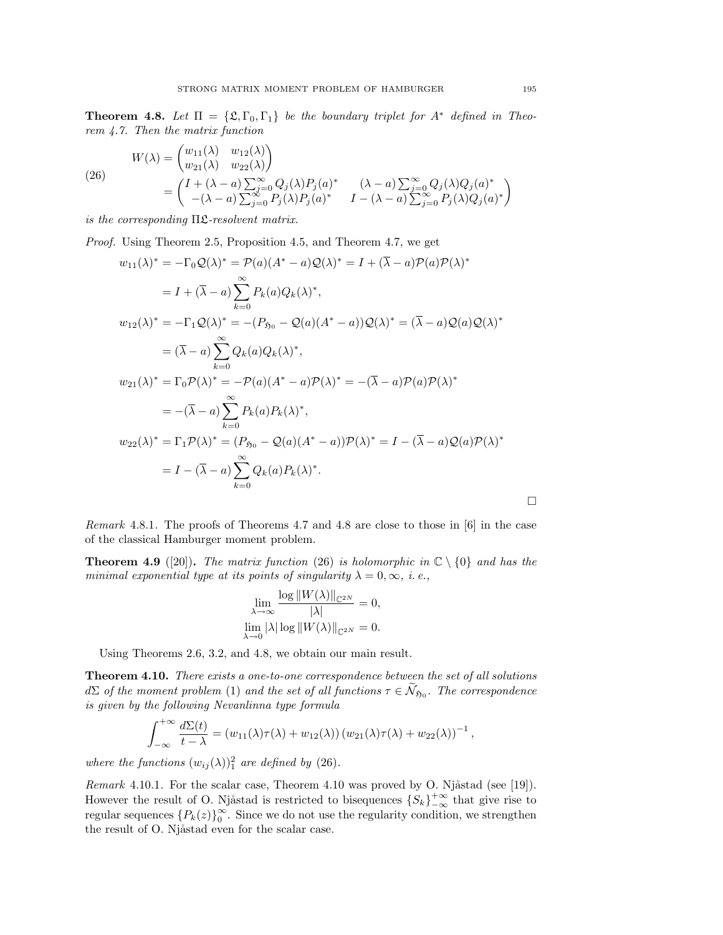**Theorem 4.8.** Let  $\Pi = {\mathfrak{L}, \Gamma_0, \Gamma_1}$  be the boundary triplet for  $A^*$  defined in Theorem 4.7. Then the matrix function

(26)  
\n
$$
W(\lambda) = \begin{pmatrix} w_{11}(\lambda) & w_{12}(\lambda) \\ w_{21}(\lambda) & w_{22}(\lambda) \end{pmatrix}
$$
\n
$$
= \begin{pmatrix} I + (\lambda - a) \sum_{j=0}^{\infty} Q_j(\lambda) P_j(a)^* & (\lambda - a) \sum_{j=0}^{\infty} Q_j(\lambda) Q_j(a)^* \\ -(\lambda - a) \sum_{j=0}^{\infty} P_j(\lambda) P_j(a)^* & I - (\lambda - a) \sum_{j=0}^{\infty} P_j(\lambda) Q_j(a)^* \end{pmatrix}
$$

is the corresponding  $\Pi$ *2-resolvent matrix.* 

Proof. Using Theorem 2.5, Proposition 4.5, and Theorem 4.7, we get

$$
w_{11}(\lambda)^{*} = -\Gamma_{0}Q(\lambda)^{*} = \mathcal{P}(a)(A^{*} - a)Q(\lambda)^{*} = I + (\overline{\lambda} - a)\mathcal{P}(a)\mathcal{P}(\lambda)^{*}
$$
  
\n
$$
= I + (\overline{\lambda} - a)\sum_{k=0}^{\infty} P_{k}(a)Q_{k}(\lambda)^{*},
$$
  
\n
$$
w_{12}(\lambda)^{*} = -\Gamma_{1}Q(\lambda)^{*} = -(P_{\mathfrak{H}_{0}} - Q(a)(A^{*} - a))Q(\lambda)^{*} = (\overline{\lambda} - a)Q(a)Q(\lambda)^{*}
$$
  
\n
$$
= (\overline{\lambda} - a)\sum_{k=0}^{\infty} Q_{k}(a)Q_{k}(\lambda)^{*},
$$
  
\n
$$
w_{21}(\lambda)^{*} = \Gamma_{0}\mathcal{P}(\lambda)^{*} = -\mathcal{P}(a)(A^{*} - a)\mathcal{P}(\lambda)^{*} = -(\overline{\lambda} - a)\mathcal{P}(a)\mathcal{P}(\lambda)^{*}
$$
  
\n
$$
= -(\overline{\lambda} - a)\sum_{k=0}^{\infty} P_{k}(a)P_{k}(\lambda)^{*},
$$
  
\n
$$
w_{22}(\lambda)^{*} = \Gamma_{1}\mathcal{P}(\lambda)^{*} = (P_{\mathfrak{H}_{0}} - Q(a)(A^{*} - a))\mathcal{P}(\lambda)^{*} = I - (\overline{\lambda} - a)Q(a)\mathcal{P}(\lambda)^{*}
$$
  
\n
$$
= I - (\overline{\lambda} - a)\sum_{k=0}^{\infty} Q_{k}(a)P_{k}(\lambda)^{*}.
$$

Remark 4.8.1. The proofs of Theorems 4.7 and 4.8 are close to those in [6] in the case of the classical Hamburger moment problem.

**Theorem 4.9** ([20]). The matrix function (26) is holomorphic in  $\mathbb{C} \setminus \{0\}$  and has the minimal exponential type at its points of singularity  $\lambda = 0, \infty, i.e.,$ 

$$
\lim_{\lambda \to \infty} \frac{\log ||W(\lambda)||_{\mathbb{C}^{2N}}}{|\lambda|} = 0,
$$
  

$$
\lim_{\lambda \to 0} |\lambda| \log ||W(\lambda)||_{\mathbb{C}^{2N}} = 0.
$$

Using Theorems 2.6, 3.2, and 4.8, we obtain our main result.

Theorem 4.10. There exists a one-to-one correspondence between the set of all solutions  $d\Sigma$  of the moment problem (1) and the set of all functions  $\tau \in \mathcal{N}_{\mathfrak{H}_0}$ . The correspondence is given by the following Nevanlinna type formula

$$
\int_{-\infty}^{+\infty} \frac{d\Sigma(t)}{t-\lambda} = (w_{11}(\lambda)\tau(\lambda) + w_{12}(\lambda)) (w_{21}(\lambda)\tau(\lambda) + w_{22}(\lambda))^{-1},
$$

where the functions  $(w_{ij}(\lambda))^2_1$  are defined by (26).

Remark 4.10.1. For the scalar case, Theorem 4.10 was proved by O. Njåstad (see [19]). However the result of O. Njåstad is restricted to bisequences  $\{S_k\}_{-\infty}^{+\infty}$  that give rise to regular sequences  $\{P_k(z)\}_0^\infty$  $\int_{0}^{\infty}$ . Since we do not use the regularity condition, we strengthen the result of O. Njåstad even for the scalar case.

 $\Box$